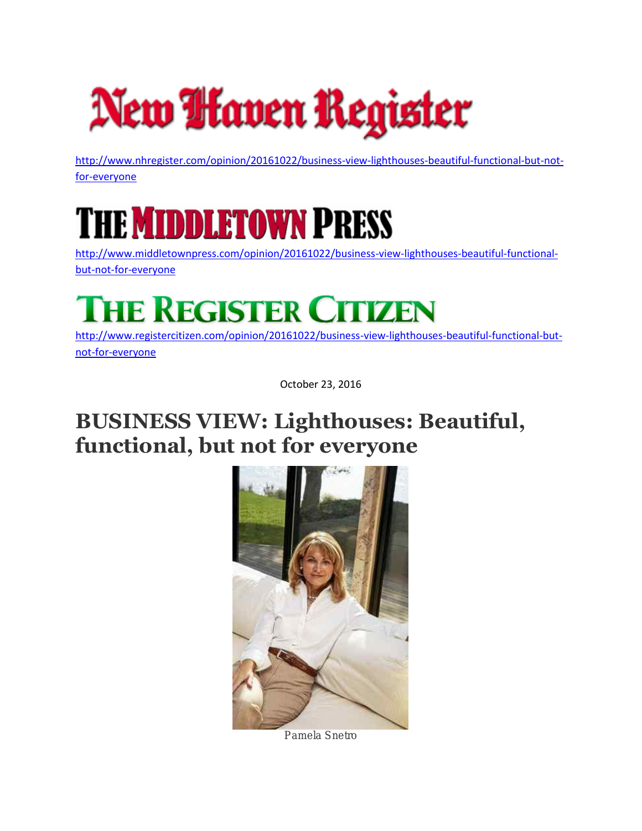

[http://www.nhregister.com/opinion/20161022/business-view-lighthouses-beautiful-functional-but-not](http://www.nhregister.com/opinion/20161022/business-view-lighthouses-beautiful-functional-but-not-for-everyone)[for-everyone](http://www.nhregister.com/opinion/20161022/business-view-lighthouses-beautiful-functional-but-not-for-everyone)

## HE **MIDDLETOWN P**RESS

[http://www.middletownpress.com/opinion/20161022/business-view-lighthouses-beautiful-functional](http://www.middletownpress.com/opinion/20161022/business-view-lighthouses-beautiful-functional-but-not-for-everyone)[but-not-for-everyone](http://www.middletownpress.com/opinion/20161022/business-view-lighthouses-beautiful-functional-but-not-for-everyone)

## **THE REGISTER CITIZEN**

[http://www.registercitizen.com/opinion/20161022/business-view-lighthouses-beautiful-functional-but](http://www.registercitizen.com/opinion/20161022/business-view-lighthouses-beautiful-functional-but-not-for-everyone)[not-for-everyone](http://www.registercitizen.com/opinion/20161022/business-view-lighthouses-beautiful-functional-but-not-for-everyone)

October 23, 2016

## **BUSINESS VIEW: Lighthouses: Beautiful, functional, but not for everyone**



**Pamela Snetro**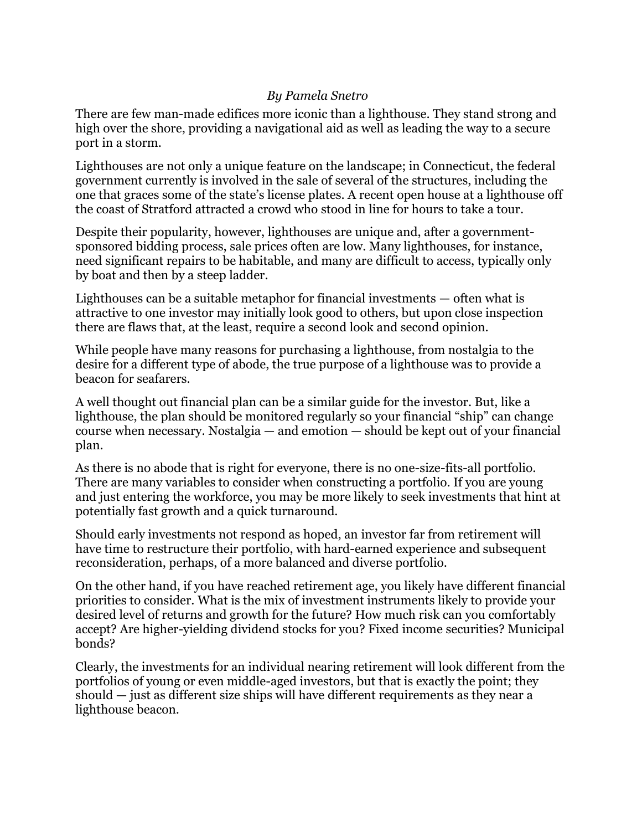## *By Pamela Snetro*

There are few man-made edifices more iconic than a lighthouse. They stand strong and high over the shore, providing a navigational aid as well as leading the way to a secure port in a storm.

Lighthouses are not only a unique feature on the landscape; in Connecticut, the federal government currently is involved in the sale of several of the structures, including the one that graces some of the state's license plates. A recent open house at a lighthouse off the coast of Stratford attracted a crowd who stood in line for hours to take a tour.

Despite their popularity, however, lighthouses are unique and, after a governmentsponsored bidding process, sale prices often are low. Many lighthouses, for instance, need significant repairs to be habitable, and many are difficult to access, typically only by boat and then by a steep ladder.

Lighthouses can be a suitable metaphor for financial investments — often what is attractive to one investor may initially look good to others, but upon close inspection there are flaws that, at the least, require a second look and second opinion.

While people have many reasons for purchasing a lighthouse, from nostalgia to the desire for a different type of abode, the true purpose of a lighthouse was to provide a beacon for seafarers.

A well thought out financial plan can be a similar guide for the investor. But, like a lighthouse, the plan should be monitored regularly so your financial "ship" can change course when necessary. Nostalgia — and emotion — should be kept out of your financial plan.

As there is no abode that is right for everyone, there is no one-size-fits-all portfolio. There are many variables to consider when constructing a portfolio. If you are young and just entering the workforce, you may be more likely to seek investments that hint at potentially fast growth and a quick turnaround.

Should early investments not respond as hoped, an investor far from retirement will have time to restructure their portfolio, with hard-earned experience and subsequent reconsideration, perhaps, of a more balanced and diverse portfolio.

On the other hand, if you have reached retirement age, you likely have different financial priorities to consider. What is the mix of investment instruments likely to provide your desired level of returns and growth for the future? How much risk can you comfortably accept? Are higher-yielding dividend stocks for you? Fixed income securities? Municipal bonds?

Clearly, the investments for an individual nearing retirement will look different from the portfolios of young or even middle-aged investors, but that is exactly the point; they should — just as different size ships will have different requirements as they near a lighthouse beacon.